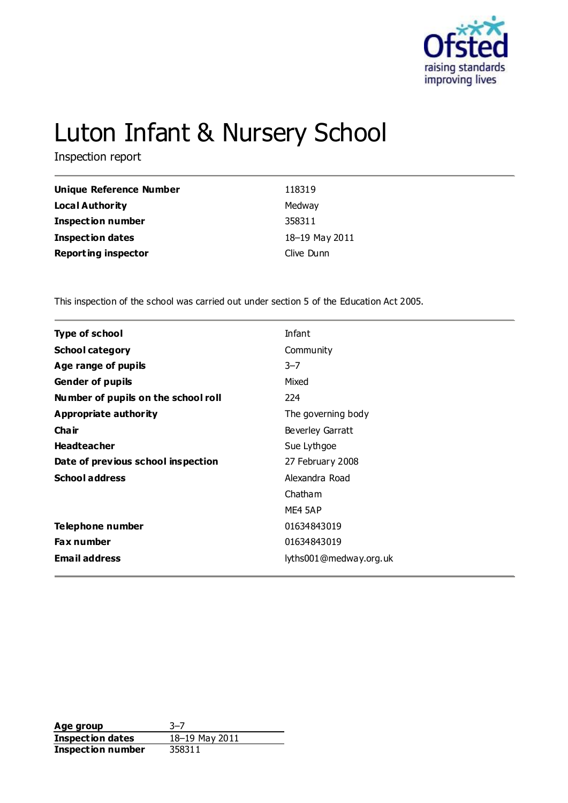

# Luton Infant & Nursery School

Inspection report

| Unique Reference Number    | 118319         |
|----------------------------|----------------|
| <b>Local Authority</b>     | Medway         |
| Inspection number          | 358311         |
| <b>Inspection dates</b>    | 18-19 May 2011 |
| <b>Reporting inspector</b> | Clive Dunn     |

This inspection of the school was carried out under section 5 of the Education Act 2005.

| <b>Type of school</b>               | Infant                 |
|-------------------------------------|------------------------|
| <b>School category</b>              | Community              |
| Age range of pupils                 | $3 - 7$                |
| <b>Gender of pupils</b>             | Mixed                  |
| Number of pupils on the school roll | 224                    |
| Appropriate authority               | The governing body     |
| Cha ir                              | Beverley Garratt       |
| <b>Headteacher</b>                  | Sue Lythgoe            |
| Date of previous school inspection  | 27 February 2008       |
| <b>School address</b>               | Alexandra Road         |
|                                     | Chatham                |
|                                     | ME4 5AP                |
| Telephone number                    | 01634843019            |
| <b>Fax number</b>                   | 01634843019            |
| <b>Email address</b>                | lyths001@medway.org.uk |
|                                     |                        |

**Age group** 3–7<br> **Inspection dates** 18–19 May 2011 **Inspection dates Inspection number** 358311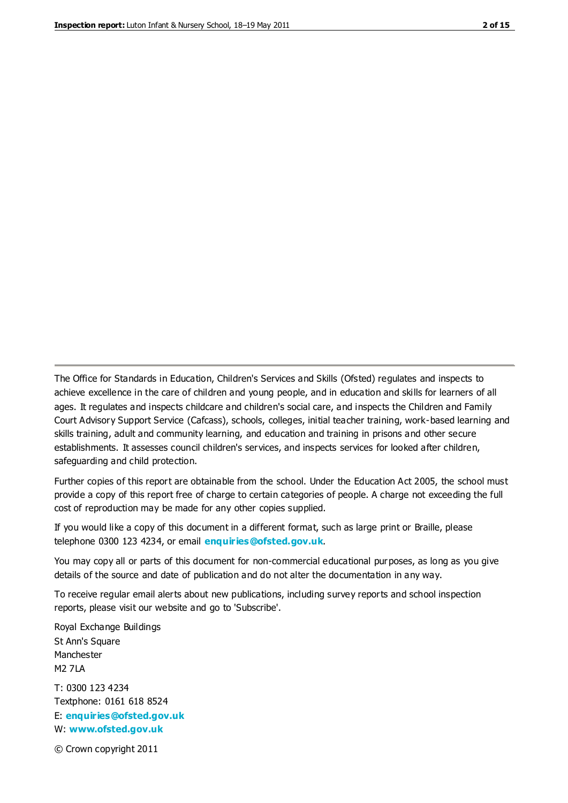The Office for Standards in Education, Children's Services and Skills (Ofsted) regulates and inspects to achieve excellence in the care of children and young people, and in education and skills for learners of all ages. It regulates and inspects childcare and children's social care, and inspects the Children and Family Court Advisory Support Service (Cafcass), schools, colleges, initial teacher training, work-based learning and skills training, adult and community learning, and education and training in prisons and other secure establishments. It assesses council children's services, and inspects services for looked after children, safeguarding and child protection.

Further copies of this report are obtainable from the school. Under the Education Act 2005, the school must provide a copy of this report free of charge to certain categories of people. A charge not exceeding the full cost of reproduction may be made for any other copies supplied.

If you would like a copy of this document in a different format, such as large print or Braille, please telephone 0300 123 4234, or email **[enquiries@ofsted.gov.uk](mailto:enquiries@ofsted.gov.uk)**.

You may copy all or parts of this document for non-commercial educational purposes, as long as you give details of the source and date of publication and do not alter the documentation in any way.

To receive regular email alerts about new publications, including survey reports and school inspection reports, please visit our website and go to 'Subscribe'.

Royal Exchange Buildings St Ann's Square Manchester M2 7LA T: 0300 123 4234 Textphone: 0161 618 8524 E: **[enquiries@ofsted.gov.uk](mailto:enquiries@ofsted.gov.uk)**

W: **[www.ofsted.gov.uk](http://www.ofsted.gov.uk/)**

© Crown copyright 2011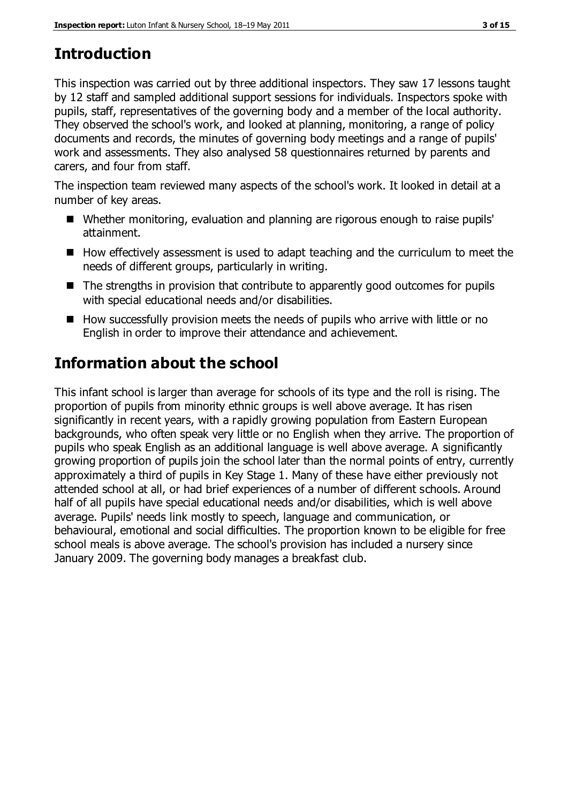# **Introduction**

This inspection was carried out by three additional inspectors. They saw 17 lessons taught by 12 staff and sampled additional support sessions for individuals. Inspectors spoke with pupils, staff, representatives of the governing body and a member of the local authority. They observed the school's work, and looked at planning, monitoring, a range of policy documents and records, the minutes of governing body meetings and a range of pupils' work and assessments. They also analysed 58 questionnaires returned by parents and carers, and four from staff.

The inspection team reviewed many aspects of the school's work. It looked in detail at a number of key areas.

- Whether monitoring, evaluation and planning are rigorous enough to raise pupils' attainment.
- $\blacksquare$  How effectively assessment is used to adapt teaching and the curriculum to meet the needs of different groups, particularly in writing.
- The strengths in provision that contribute to apparently good outcomes for pupils with special educational needs and/or disabilities.
- $\blacksquare$  How successfully provision meets the needs of pupils who arrive with little or no English in order to improve their attendance and achievement.

# **Information about the school**

This infant school is larger than average for schools of its type and the roll is rising. The proportion of pupils from minority ethnic groups is well above average. It has risen significantly in recent years, with a rapidly growing population from Eastern European backgrounds, who often speak very little or no English when they arrive. The proportion of pupils who speak English as an additional language is well above average. A significantly growing proportion of pupils join the school later than the normal points of entry, currently approximately a third of pupils in Key Stage 1. Many of these have either previously not attended school at all, or had brief experiences of a number of different schools. Around half of all pupils have special educational needs and/or disabilities, which is well above average. Pupils' needs link mostly to speech, language and communication, or behavioural, emotional and social difficulties. The proportion known to be eligible for free school meals is above average. The school's provision has included a nursery since January 2009. The governing body manages a breakfast club.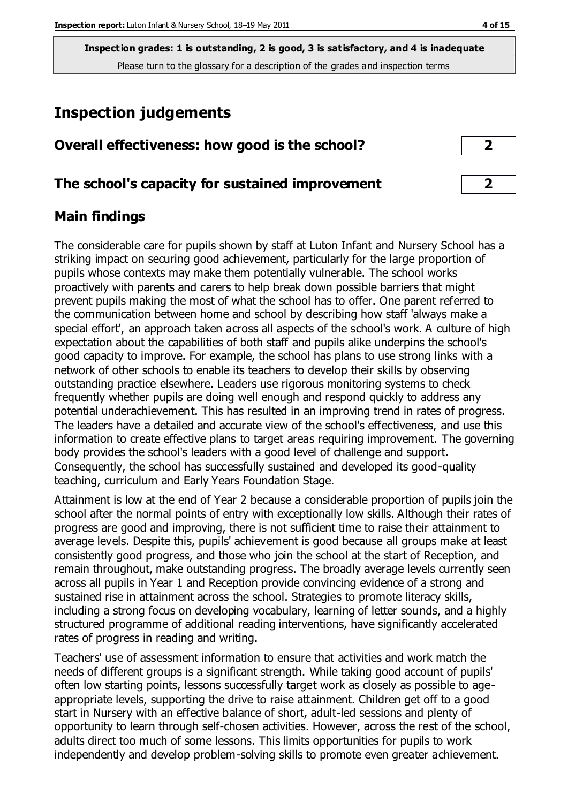# **Inspection judgements**

| Overall effectiveness: how good is the school? |  |
|------------------------------------------------|--|
|                                                |  |

### **The school's capacity for sustained improvement 2**

## **Main findings**

The considerable care for pupils shown by staff at Luton Infant and Nursery School has a striking impact on securing good achievement, particularly for the large proportion of pupils whose contexts may make them potentially vulnerable. The school works proactively with parents and carers to help break down possible barriers that might prevent pupils making the most of what the school has to offer. One parent referred to the communication between home and school by describing how staff 'always make a special effort', an approach taken across all aspects of the school's work. A culture of high expectation about the capabilities of both staff and pupils alike underpins the school's good capacity to improve. For example, the school has plans to use strong links with a network of other schools to enable its teachers to develop their skills by observing outstanding practice elsewhere. Leaders use rigorous monitoring systems to check frequently whether pupils are doing well enough and respond quickly to address any potential underachievement. This has resulted in an improving trend in rates of progress. The leaders have a detailed and accurate view of the school's effectiveness, and use this information to create effective plans to target areas requiring improvement. The governing body provides the school's leaders with a good level of challenge and support. Consequently, the school has successfully sustained and developed its good-quality teaching, curriculum and Early Years Foundation Stage.

Attainment is low at the end of Year 2 because a considerable proportion of pupils join the school after the normal points of entry with exceptionally low skills. Although their rates of progress are good and improving, there is not sufficient time to raise their attainment to average levels. Despite this, pupils' achievement is good because all groups make at least consistently good progress, and those who join the school at the start of Reception, and remain throughout, make outstanding progress. The broadly average levels currently seen across all pupils in Year 1 and Reception provide convincing evidence of a strong and sustained rise in attainment across the school. Strategies to promote literacy skills, including a strong focus on developing vocabulary, learning of letter sounds, and a highly structured programme of additional reading interventions, have significantly accelerated rates of progress in reading and writing.

Teachers' use of assessment information to ensure that activities and work match the needs of different groups is a significant strength. While taking good account of pupils' often low starting points, lessons successfully target work as closely as possible to ageappropriate levels, supporting the drive to raise attainment. Children get off to a good start in Nursery with an effective balance of short, adult-led sessions and plenty of opportunity to learn through self-chosen activities. However, across the rest of the school, adults direct too much of some lessons. This limits opportunities for pupils to work independently and develop problem-solving skills to promote even greater achievement.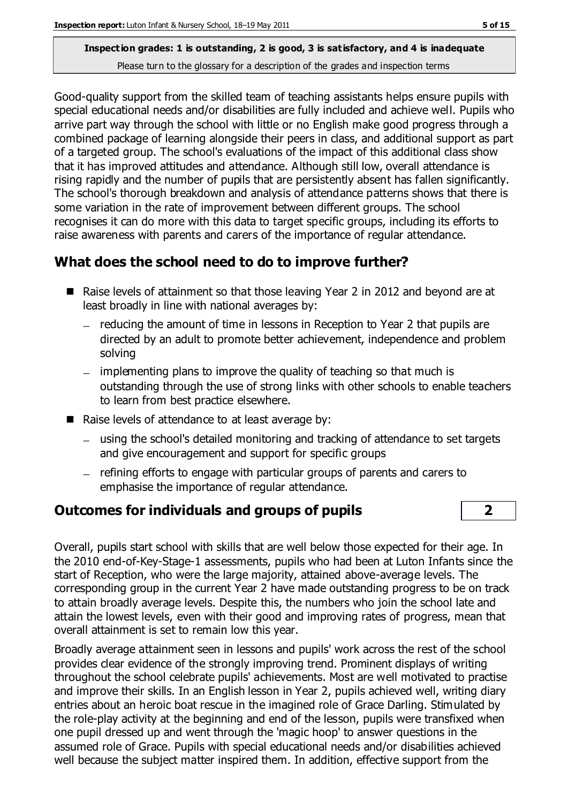Good-quality support from the skilled team of teaching assistants helps ensure pupils with special educational needs and/or disabilities are fully included and achieve well. Pupils who arrive part way through the school with little or no English make good progress through a combined package of learning alongside their peers in class, and additional support as part of a targeted group. The school's evaluations of the impact of this additional class show that it has improved attitudes and attendance. Although still low, overall attendance is rising rapidly and the number of pupils that are persistently absent has fallen significantly. The school's thorough breakdown and analysis of attendance patterns shows that there is some variation in the rate of improvement between different groups. The school recognises it can do more with this data to target specific groups, including its efforts to raise awareness with parents and carers of the importance of regular attendance.

## **What does the school need to do to improve further?**

- Raise levels of attainment so that those leaving Year 2 in 2012 and beyond are at least broadly in line with national averages by:
	- $-$  reducing the amount of time in lessons in Reception to Year 2 that pupils are directed by an adult to promote better achievement, independence and problem solving
	- implementing plans to improve the quality of teaching so that much is outstanding through the use of strong links with other schools to enable teachers to learn from best practice elsewhere.
- $\blacksquare$  Raise levels of attendance to at least average by:
	- using the school's detailed monitoring and tracking of attendance to set targets and give encouragement and support for specific groups
	- refining efforts to engage with particular groups of parents and carers to emphasise the importance of regular attendance.

## **Outcomes for individuals and groups of pupils 2**

Overall, pupils start school with skills that are well below those expected for their age. In the 2010 end-of-Key-Stage-1 assessments, pupils who had been at Luton Infants since the start of Reception, who were the large majority, attained above-average levels. The corresponding group in the current Year 2 have made outstanding progress to be on track to attain broadly average levels. Despite this, the numbers who join the school late and attain the lowest levels, even with their good and improving rates of progress, mean that overall attainment is set to remain low this year.

Broadly average attainment seen in lessons and pupils' work across the rest of the school provides clear evidence of the strongly improving trend. Prominent displays of writing throughout the school celebrate pupils' achievements. Most are well motivated to practise and improve their skills. In an English lesson in Year 2, pupils achieved well, writing diary entries about an heroic boat rescue in the imagined role of Grace Darling. Stimulated by the role-play activity at the beginning and end of the lesson, pupils were transfixed when one pupil dressed up and went through the 'magic hoop' to answer questions in the assumed role of Grace. Pupils with special educational needs and/or disabilities achieved well because the subject matter inspired them. In addition, effective support from the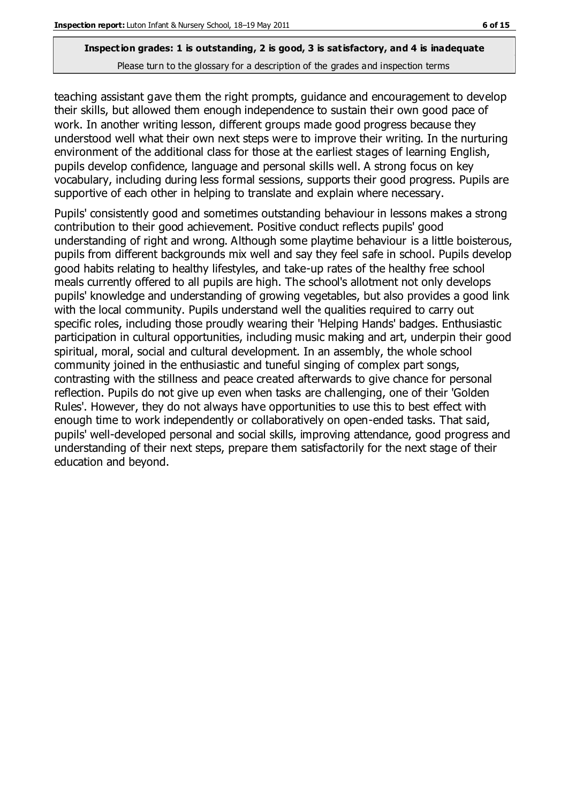teaching assistant gave them the right prompts, guidance and encouragement to develop their skills, but allowed them enough independence to sustain their own good pace of work. In another writing lesson, different groups made good progress because they understood well what their own next steps were to improve their writing. In the nurturing environment of the additional class for those at the earliest stages of learning English, pupils develop confidence, language and personal skills well. A strong focus on key vocabulary, including during less formal sessions, supports their good progress. Pupils are supportive of each other in helping to translate and explain where necessary.

Pupils' consistently good and sometimes outstanding behaviour in lessons makes a strong contribution to their good achievement. Positive conduct reflects pupils' good understanding of right and wrong. Although some playtime behaviour is a little boisterous, pupils from different backgrounds mix well and say they feel safe in school. Pupils develop good habits relating to healthy lifestyles, and take-up rates of the healthy free school meals currently offered to all pupils are high. The school's allotment not only develops pupils' knowledge and understanding of growing vegetables, but also provides a good link with the local community. Pupils understand well the qualities required to carry out specific roles, including those proudly wearing their 'Helping Hands' badges. Enthusiastic participation in cultural opportunities, including music making and art, underpin their good spiritual, moral, social and cultural development. In an assembly, the whole school community joined in the enthusiastic and tuneful singing of complex part songs, contrasting with the stillness and peace created afterwards to give chance for personal reflection. Pupils do not give up even when tasks are challenging, one of their 'Golden Rules'. However, they do not always have opportunities to use this to best effect with enough time to work independently or collaboratively on open-ended tasks. That said, pupils' well-developed personal and social skills, improving attendance, good progress and understanding of their next steps, prepare them satisfactorily for the next stage of their education and beyond.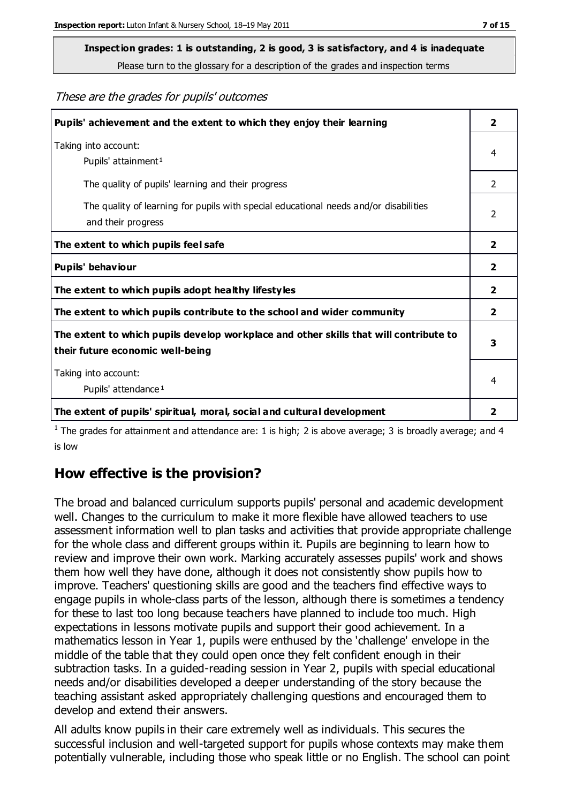# **Inspection grades: 1 is outstanding, 2 is good, 3 is satisfactory, and 4 is inadequate**

Please turn to the glossary for a description of the grades and inspection terms

These are the grades for pupils' outcomes

| Pupils' achievement and the extent to which they enjoy their learning                                                     |                |
|---------------------------------------------------------------------------------------------------------------------------|----------------|
| Taking into account:<br>Pupils' attainment <sup>1</sup>                                                                   | 4              |
| The quality of pupils' learning and their progress                                                                        | $\mathcal{P}$  |
| The quality of learning for pupils with special educational needs and/or disabilities<br>and their progress               | $\overline{2}$ |
| The extent to which pupils feel safe                                                                                      | $\mathbf{2}$   |
| Pupils' behaviour                                                                                                         | 2              |
| The extent to which pupils adopt healthy lifestyles                                                                       | 2              |
| The extent to which pupils contribute to the school and wider community                                                   | $\overline{2}$ |
| The extent to which pupils develop workplace and other skills that will contribute to<br>their future economic well-being |                |
| Taking into account:<br>Pupils' attendance <sup>1</sup>                                                                   | 4              |
| The extent of pupils' spiritual, moral, social and cultural development                                                   | 2              |

<sup>1</sup> The grades for attainment and attendance are: 1 is high; 2 is above average; 3 is broadly average; and 4 is low

#### **How effective is the provision?**

The broad and balanced curriculum supports pupils' personal and academic development well. Changes to the curriculum to make it more flexible have allowed teachers to use assessment information well to plan tasks and activities that provide appropriate challenge for the whole class and different groups within it. Pupils are beginning to learn how to review and improve their own work. Marking accurately assesses pupils' work and shows them how well they have done, although it does not consistently show pupils how to improve. Teachers' questioning skills are good and the teachers find effective ways to engage pupils in whole-class parts of the lesson, although there is sometimes a tendency for these to last too long because teachers have planned to include too much. High expectations in lessons motivate pupils and support their good achievement. In a mathematics lesson in Year 1, pupils were enthused by the 'challenge' envelope in the middle of the table that they could open once they felt confident enough in their subtraction tasks. In a guided-reading session in Year 2, pupils with special educational needs and/or disabilities developed a deeper understanding of the story because the teaching assistant asked appropriately challenging questions and encouraged them to develop and extend their answers.

All adults know pupils in their care extremely well as individuals. This secures the successful inclusion and well-targeted support for pupils whose contexts may make them potentially vulnerable, including those who speak little or no English. The school can point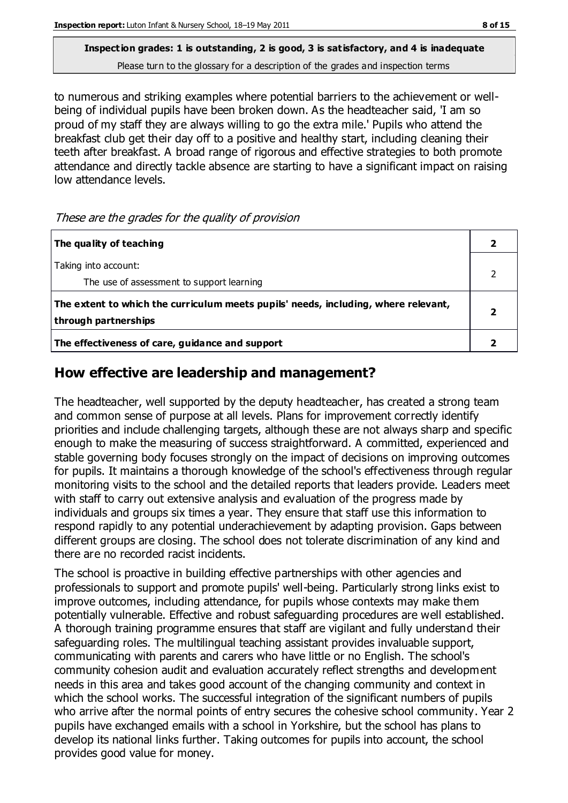to numerous and striking examples where potential barriers to the achievement or wellbeing of individual pupils have been broken down. As the headteacher said, 'I am so proud of my staff they are always willing to go the extra mile.' Pupils who attend the breakfast club get their day off to a positive and healthy start, including cleaning their teeth after breakfast. A broad range of rigorous and effective strategies to both promote attendance and directly tackle absence are starting to have a significant impact on raising low attendance levels.

These are the grades for the quality of provision

| The quality of teaching                                                                                    |  |
|------------------------------------------------------------------------------------------------------------|--|
| Taking into account:<br>The use of assessment to support learning                                          |  |
| The extent to which the curriculum meets pupils' needs, including, where relevant,<br>through partnerships |  |
| The effectiveness of care, guidance and support                                                            |  |

## **How effective are leadership and management?**

The headteacher, well supported by the deputy headteacher, has created a strong team and common sense of purpose at all levels. Plans for improvement correctly identify priorities and include challenging targets, although these are not always sharp and specific enough to make the measuring of success straightforward. A committed, experienced and stable governing body focuses strongly on the impact of decisions on improving outcomes for pupils. It maintains a thorough knowledge of the school's effectiveness through regular monitoring visits to the school and the detailed reports that leaders provide. Leaders meet with staff to carry out extensive analysis and evaluation of the progress made by individuals and groups six times a year. They ensure that staff use this information to respond rapidly to any potential underachievement by adapting provision. Gaps between different groups are closing. The school does not tolerate discrimination of any kind and there are no recorded racist incidents.

The school is proactive in building effective partnerships with other agencies and professionals to support and promote pupils' well-being. Particularly strong links exist to improve outcomes, including attendance, for pupils whose contexts may make them potentially vulnerable. Effective and robust safeguarding procedures are well established. A thorough training programme ensures that staff are vigilant and fully understand their safeguarding roles. The multilingual teaching assistant provides invaluable support, communicating with parents and carers who have little or no English. The school's community cohesion audit and evaluation accurately reflect strengths and development needs in this area and takes good account of the changing community and context in which the school works. The successful integration of the significant numbers of pupils who arrive after the normal points of entry secures the cohesive school community. Year 2 pupils have exchanged emails with a school in Yorkshire, but the school has plans to develop its national links further. Taking outcomes for pupils into account, the school provides good value for money.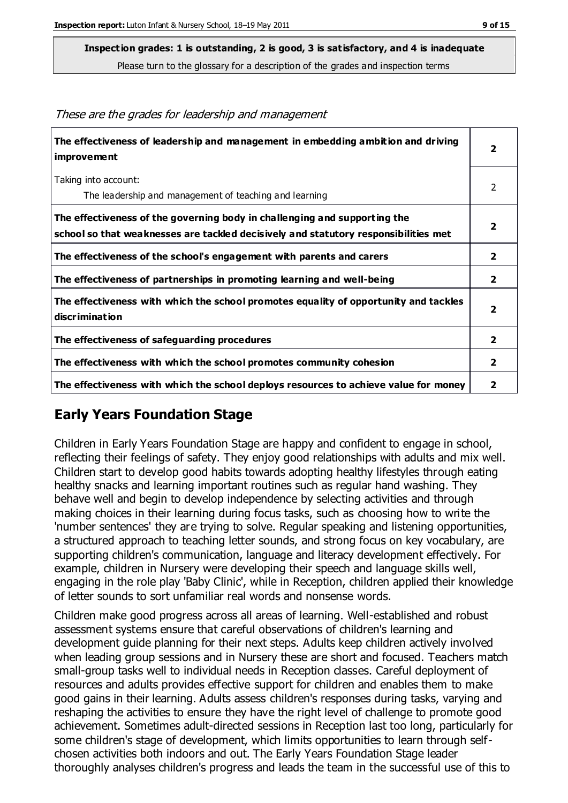**Inspection grades: 1 is outstanding, 2 is good, 3 is satisfactory, and 4 is inadequate**

Please turn to the glossary for a description of the grades and inspection terms

| The effectiveness of leadership and management in embedding ambition and driving<br>improvement                                                                  | $\overline{\mathbf{2}}$ |
|------------------------------------------------------------------------------------------------------------------------------------------------------------------|-------------------------|
| Taking into account:<br>The leadership and management of teaching and learning                                                                                   | 2                       |
| The effectiveness of the governing body in challenging and supporting the<br>school so that weaknesses are tackled decisively and statutory responsibilities met | $\overline{\mathbf{2}}$ |
| The effectiveness of the school's engagement with parents and carers                                                                                             | $\overline{\mathbf{2}}$ |
| The effectiveness of partnerships in promoting learning and well-being                                                                                           | $\overline{\mathbf{2}}$ |
| The effectiveness with which the school promotes equality of opportunity and tackles<br>discrimination                                                           | $\overline{2}$          |
| The effectiveness of safeguarding procedures                                                                                                                     | $\overline{2}$          |
| The effectiveness with which the school promotes community cohesion                                                                                              | $\mathbf{2}$            |
| The effectiveness with which the school deploys resources to achieve value for money                                                                             |                         |

These are the grades for leadership and management

## **Early Years Foundation Stage**

Children in Early Years Foundation Stage are happy and confident to engage in school, reflecting their feelings of safety. They enjoy good relationships with adults and mix well. Children start to develop good habits towards adopting healthy lifestyles through eating healthy snacks and learning important routines such as regular hand washing. They behave well and begin to develop independence by selecting activities and through making choices in their learning during focus tasks, such as choosing how to write the 'number sentences' they are trying to solve. Regular speaking and listening opportunities, a structured approach to teaching letter sounds, and strong focus on key vocabulary, are supporting children's communication, language and literacy development effectively. For example, children in Nursery were developing their speech and language skills well, engaging in the role play 'Baby Clinic', while in Reception, children applied their knowledge of letter sounds to sort unfamiliar real words and nonsense words.

Children make good progress across all areas of learning. Well-established and robust assessment systems ensure that careful observations of children's learning and development guide planning for their next steps. Adults keep children actively involved when leading group sessions and in Nursery these are short and focused. Teachers match small-group tasks well to individual needs in Reception classes. Careful deployment of resources and adults provides effective support for children and enables them to make good gains in their learning. Adults assess children's responses during tasks, varying and reshaping the activities to ensure they have the right level of challenge to promote good achievement. Sometimes adult-directed sessions in Reception last too long, particularly for some children's stage of development, which limits opportunities to learn through selfchosen activities both indoors and out. The Early Years Foundation Stage leader thoroughly analyses children's progress and leads the team in the successful use of this to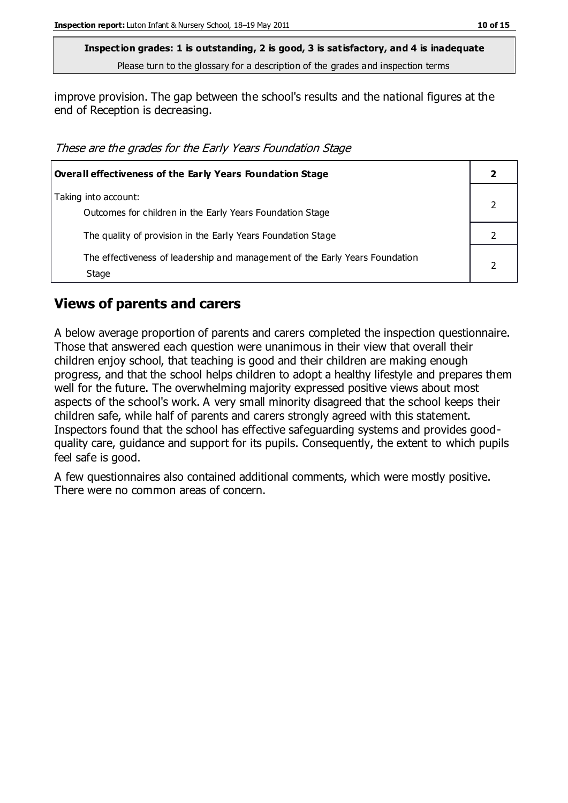improve provision. The gap between the school's results and the national figures at the end of Reception is decreasing.

These are the grades for the Early Years Foundation Stage

| <b>Overall effectiveness of the Early Years Foundation Stage</b>                      |  |
|---------------------------------------------------------------------------------------|--|
| Taking into account:<br>Outcomes for children in the Early Years Foundation Stage     |  |
| The quality of provision in the Early Years Foundation Stage                          |  |
| The effectiveness of leadership and management of the Early Years Foundation<br>Stage |  |

#### **Views of parents and carers**

A below average proportion of parents and carers completed the inspection questionnaire. Those that answered each question were unanimous in their view that overall their children enjoy school, that teaching is good and their children are making enough progress, and that the school helps children to adopt a healthy lifestyle and prepares them well for the future. The overwhelming majority expressed positive views about most aspects of the school's work. A very small minority disagreed that the school keeps their children safe, while half of parents and carers strongly agreed with this statement. Inspectors found that the school has effective safeguarding systems and provides goodquality care, guidance and support for its pupils. Consequently, the extent to which pupils feel safe is good.

A few questionnaires also contained additional comments, which were mostly positive. There were no common areas of concern.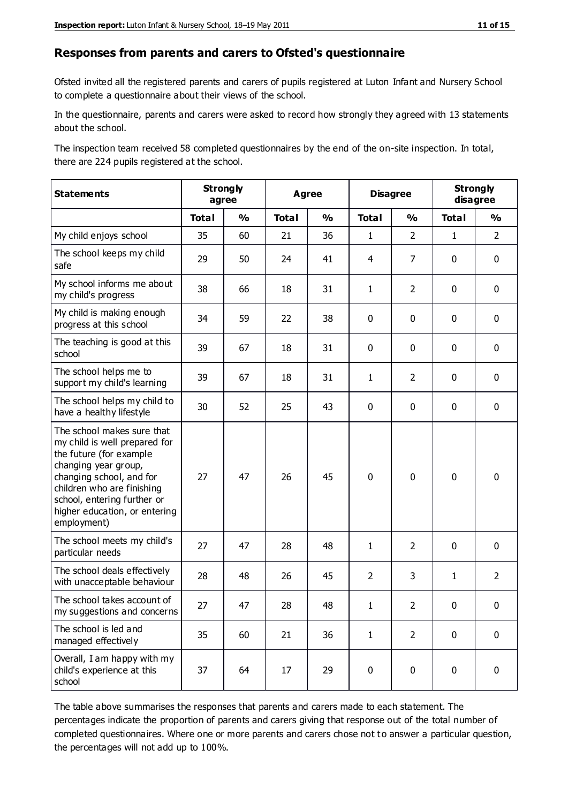#### **Responses from parents and carers to Ofsted's questionnaire**

Ofsted invited all the registered parents and carers of pupils registered at Luton Infant and Nursery School to complete a questionnaire about their views of the school.

In the questionnaire, parents and carers were asked to record how strongly they agreed with 13 statements about the school.

The inspection team received 58 completed questionnaires by the end of the on-site inspection. In total, there are 224 pupils registered at the school.

| <b>Statements</b>                                                                                                                                                                                                                                       | <b>Strongly</b> | agree         | <b>Agree</b> |               | <b>Disagree</b> |                | <b>Strongly</b><br>disagree |                |
|---------------------------------------------------------------------------------------------------------------------------------------------------------------------------------------------------------------------------------------------------------|-----------------|---------------|--------------|---------------|-----------------|----------------|-----------------------------|----------------|
|                                                                                                                                                                                                                                                         | <b>Total</b>    | $\frac{1}{2}$ | <b>Total</b> | $\frac{1}{2}$ | <b>Total</b>    | $\frac{1}{2}$  | <b>Total</b>                | $\frac{1}{2}$  |
| My child enjoys school                                                                                                                                                                                                                                  | 35              | 60            | 21           | 36            | $\mathbf{1}$    | $\overline{2}$ | $\mathbf{1}$                | $\overline{2}$ |
| The school keeps my child<br>safe                                                                                                                                                                                                                       | 29              | 50            | 24           | 41            | 4               | 7              | $\mathbf 0$                 | $\mathbf 0$    |
| My school informs me about<br>my child's progress                                                                                                                                                                                                       | 38              | 66            | 18           | 31            | $\mathbf{1}$    | $\overline{2}$ | $\mathbf 0$                 | $\mathbf 0$    |
| My child is making enough<br>progress at this school                                                                                                                                                                                                    | 34              | 59            | 22           | 38            | 0               | $\mathbf 0$    | $\mathbf 0$                 | $\mathbf 0$    |
| The teaching is good at this<br>school                                                                                                                                                                                                                  | 39              | 67            | 18           | 31            | 0               | $\mathbf 0$    | $\mathbf 0$                 | $\mathbf 0$    |
| The school helps me to<br>support my child's learning                                                                                                                                                                                                   | 39              | 67            | 18           | 31            | $\mathbf{1}$    | $\overline{2}$ | $\mathbf 0$                 | $\mathbf 0$    |
| The school helps my child to<br>have a healthy lifestyle                                                                                                                                                                                                | 30              | 52            | 25           | 43            | 0               | $\mathbf 0$    | $\mathbf 0$                 | $\mathbf 0$    |
| The school makes sure that<br>my child is well prepared for<br>the future (for example<br>changing year group,<br>changing school, and for<br>children who are finishing<br>school, entering further or<br>higher education, or entering<br>employment) | 27              | 47            | 26           | 45            | $\mathbf 0$     | $\mathbf 0$    | $\mathbf 0$                 | $\mathbf 0$    |
| The school meets my child's<br>particular needs                                                                                                                                                                                                         | 27              | 47            | 28           | 48            | $\mathbf{1}$    | $\overline{2}$ | $\mathbf 0$                 | $\mathbf 0$    |
| The school deals effectively<br>with unacceptable behaviour                                                                                                                                                                                             | 28              | 48            | 26           | 45            | $\overline{2}$  | 3              | $\mathbf{1}$                | $\overline{2}$ |
| The school takes account of<br>my suggestions and concerns                                                                                                                                                                                              | 27              | 47            | 28           | 48            | 1               | $\mathcal{P}$  | $\Omega$                    | 0              |
| The school is led and<br>managed effectively                                                                                                                                                                                                            | 35              | 60            | 21           | 36            | $\mathbf{1}$    | $\overline{2}$ | $\mathbf 0$                 | $\mathbf 0$    |
| Overall, I am happy with my<br>child's experience at this<br>school                                                                                                                                                                                     | 37              | 64            | 17           | 29            | $\pmb{0}$       | $\mathbf 0$    | $\mathbf 0$                 | $\pmb{0}$      |

The table above summarises the responses that parents and carers made to each statement. The percentages indicate the proportion of parents and carers giving that response out of the total number of completed questionnaires. Where one or more parents and carers chose not t o answer a particular question, the percentages will not add up to 100%.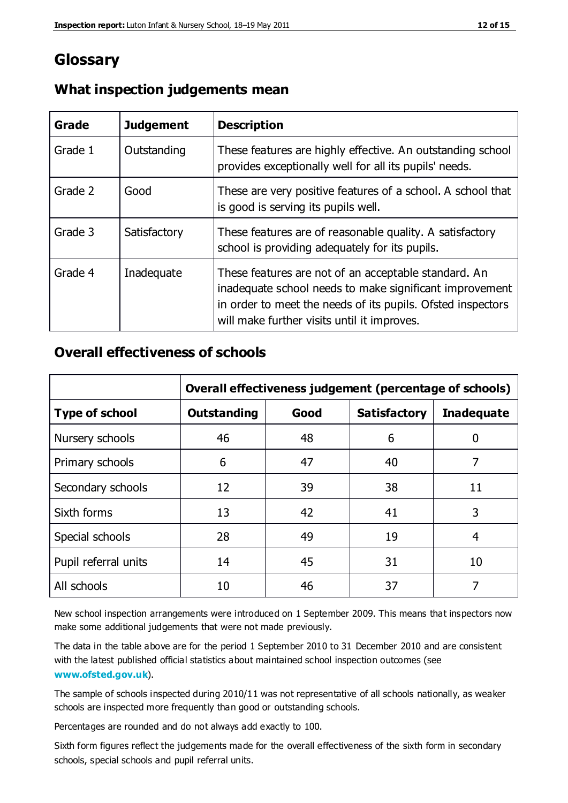## **Glossary**

| Grade   | <b>Judgement</b> | <b>Description</b>                                                                                                                                                                                                            |
|---------|------------------|-------------------------------------------------------------------------------------------------------------------------------------------------------------------------------------------------------------------------------|
| Grade 1 | Outstanding      | These features are highly effective. An outstanding school<br>provides exceptionally well for all its pupils' needs.                                                                                                          |
| Grade 2 | Good             | These are very positive features of a school. A school that<br>is good is serving its pupils well.                                                                                                                            |
| Grade 3 | Satisfactory     | These features are of reasonable quality. A satisfactory<br>school is providing adequately for its pupils.                                                                                                                    |
| Grade 4 | Inadequate       | These features are not of an acceptable standard. An<br>inadequate school needs to make significant improvement<br>in order to meet the needs of its pupils. Ofsted inspectors<br>will make further visits until it improves. |

#### **What inspection judgements mean**

### **Overall effectiveness of schools**

|                       | Overall effectiveness judgement (percentage of schools) |      |                     |                   |
|-----------------------|---------------------------------------------------------|------|---------------------|-------------------|
| <b>Type of school</b> | <b>Outstanding</b>                                      | Good | <b>Satisfactory</b> | <b>Inadequate</b> |
| Nursery schools       | 46                                                      | 48   | 6                   |                   |
| Primary schools       | 6                                                       | 47   | 40                  | 7                 |
| Secondary schools     | 12                                                      | 39   | 38                  | 11                |
| Sixth forms           | 13                                                      | 42   | 41                  | 3                 |
| Special schools       | 28                                                      | 49   | 19                  | 4                 |
| Pupil referral units  | 14                                                      | 45   | 31                  | 10                |
| All schools           | 10                                                      | 46   | 37                  |                   |

New school inspection arrangements were introduced on 1 September 2009. This means that inspectors now make some additional judgements that were not made previously.

The data in the table above are for the period 1 September 2010 to 31 December 2010 and are consistent with the latest published official statistics about maintained school inspection outcomes (see **[www.ofsted.gov.uk](http://www.ofsted.gov.uk/)**).

The sample of schools inspected during 2010/11 was not representative of all schools nationally, as weaker schools are inspected more frequently than good or outstanding schools.

Percentages are rounded and do not always add exactly to 100.

Sixth form figures reflect the judgements made for the overall effectiveness of the sixth form in secondary schools, special schools and pupil referral units.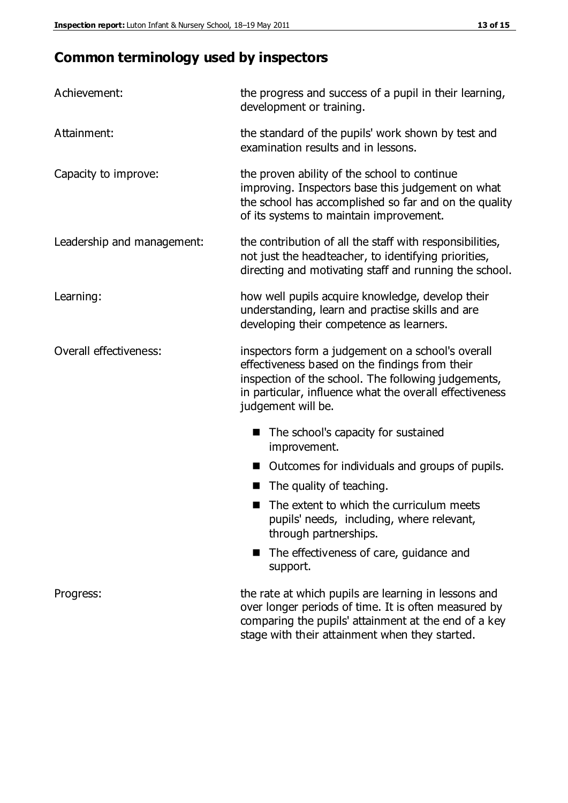# **Common terminology used by inspectors**

| Achievement:                  | the progress and success of a pupil in their learning,<br>development or training.                                                                                                                                                          |  |  |
|-------------------------------|---------------------------------------------------------------------------------------------------------------------------------------------------------------------------------------------------------------------------------------------|--|--|
| Attainment:                   | the standard of the pupils' work shown by test and<br>examination results and in lessons.                                                                                                                                                   |  |  |
| Capacity to improve:          | the proven ability of the school to continue<br>improving. Inspectors base this judgement on what<br>the school has accomplished so far and on the quality<br>of its systems to maintain improvement.                                       |  |  |
| Leadership and management:    | the contribution of all the staff with responsibilities,<br>not just the headteacher, to identifying priorities,<br>directing and motivating staff and running the school.                                                                  |  |  |
| Learning:                     | how well pupils acquire knowledge, develop their<br>understanding, learn and practise skills and are<br>developing their competence as learners.                                                                                            |  |  |
| <b>Overall effectiveness:</b> | inspectors form a judgement on a school's overall<br>effectiveness based on the findings from their<br>inspection of the school. The following judgements,<br>in particular, influence what the overall effectiveness<br>judgement will be. |  |  |
|                               | The school's capacity for sustained<br>improvement.                                                                                                                                                                                         |  |  |
|                               | Outcomes for individuals and groups of pupils.                                                                                                                                                                                              |  |  |
|                               | The quality of teaching.                                                                                                                                                                                                                    |  |  |
|                               | The extent to which the curriculum meets<br>pupils' needs, including, where relevant,<br>through partnerships.                                                                                                                              |  |  |
|                               | The effectiveness of care, guidance and<br>support.                                                                                                                                                                                         |  |  |
| Progress:                     | the rate at which pupils are learning in lessons and<br>over longer periods of time. It is often measured by<br>comparing the pupils' attainment at the end of a key                                                                        |  |  |

stage with their attainment when they started.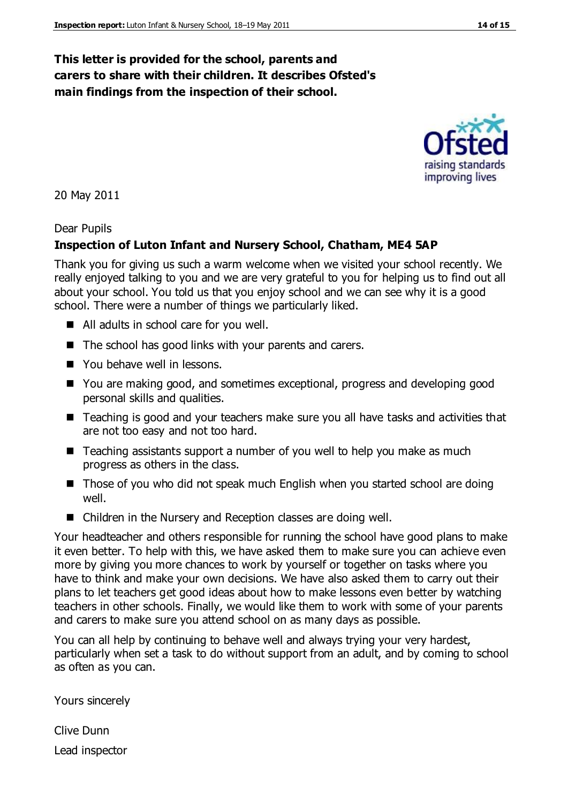#### **This letter is provided for the school, parents and carers to share with their children. It describes Ofsted's main findings from the inspection of their school.**

20 May 2011

#### Dear Pupils

#### **Inspection of Luton Infant and Nursery School, Chatham, ME4 5AP**

Thank you for giving us such a warm welcome when we visited your school recently. We really enjoyed talking to you and we are very grateful to you for helping us to find out all about your school. You told us that you enjoy school and we can see why it is a good school. There were a number of things we particularly liked.

- All adults in school care for you well.
- $\blacksquare$  The school has good links with your parents and carers.
- You behave well in lessons.
- You are making good, and sometimes exceptional, progress and developing good personal skills and qualities.
- Teaching is good and your teachers make sure you all have tasks and activities that are not too easy and not too hard.
- Teaching assistants support a number of you well to help you make as much progress as others in the class.
- Those of you who did not speak much English when you started school are doing well.
- Children in the Nursery and Reception classes are doing well.

Your headteacher and others responsible for running the school have good plans to make it even better. To help with this, we have asked them to make sure you can achieve even more by giving you more chances to work by yourself or together on tasks where you have to think and make your own decisions. We have also asked them to carry out their plans to let teachers get good ideas about how to make lessons even better by watching teachers in other schools. Finally, we would like them to work with some of your parents and carers to make sure you attend school on as many days as possible.

You can all help by continuing to behave well and always trying your very hardest, particularly when set a task to do without support from an adult, and by coming to school as often as you can.

Yours sincerely

Clive Dunn Lead inspector